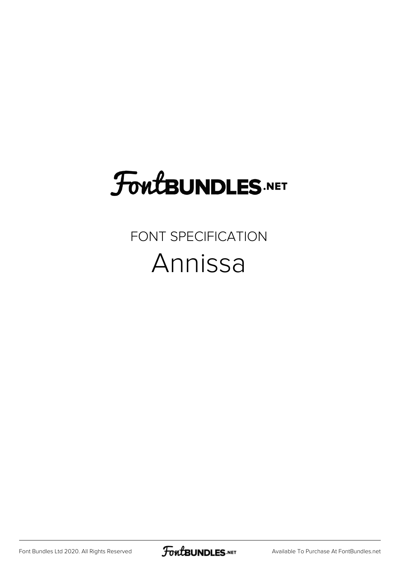## **FoutBUNDLES.NET**

## FONT SPECIFICATION Annissa

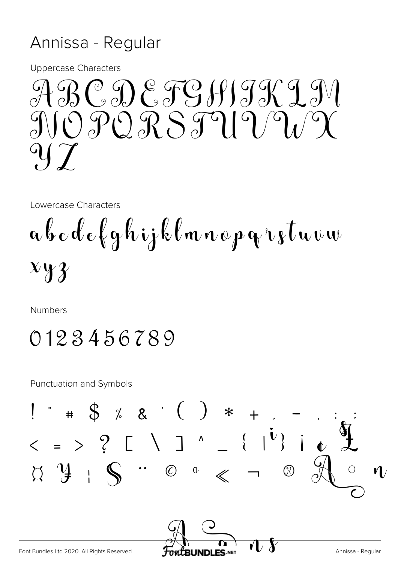## Annissa - Regular

**Uppercase Characters** 



Lowercase Characters

a b c d e f g h i j k l m n o p g r s t u v w  $x y y$ 

Numbers

0123456789

**Punctuation and Symbols** 

 $*$  # \$ % & ' ( ) \* +  $<$  = > ? [ \ ] ^ \_ { |<sup>i</sup>} |  $\begin{array}{ccccccc}\n\bigcirc & \mathcal{Y} & \mathcal{Y} & \mathcal{S} & \mathcal{S} & \mathcal{S} & \mathcal{S} & \mathcal{S}\n\end{array}$  $\circledR$ Font Bundles Ltd 2020. All Rights Reserved Annissa - Regular **JNDLES.NET**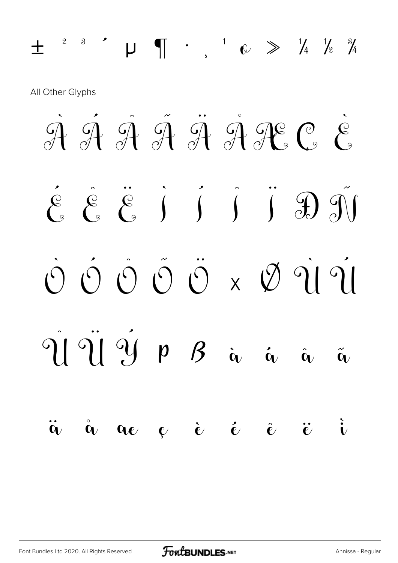$\pm$  <sup>2</sup> <sup>3</sup>  $\cdot$   $\mu$   $\pi$   $\cdot$   $\mu$   $\infty$   $\gg$   $\frac{1}{4}$   $\frac{1}{2}$   $\frac{3}{4}$ All Other Glyphs  $\overline{\mathcal{A}}$   $\overline{\mathcal{A}}$   $\overline{\mathcal{A}}$   $\overline{\mathcal{A}}$   $\overline{\mathcal{A}}$   $\overline{\mathcal{A}}$   $\overline{\mathcal{B}}$   $\overline{\mathcal{C}}$   $\overline{\mathcal{C}}$  $\left[\begin{matrix} \mathcal{E} & \mathcal{E} & \mathcal{E} \\ \mathcal{E} & \mathcal{E} & \mathcal{E} & \mathcal{E} \end{matrix} \right] = \left[\begin{matrix} \mathcal{E} & \mathcal{E} & \mathcal{E} & \mathcal{E} \\ \mathcal{E} & \mathcal{E} & \mathcal{E} & \mathcal{E} & \mathcal{E} \end{matrix} \right]$  $\begin{smallmatrix} 0 & 0 & 0 & 0 \\ 0 & 0 & 0 & 0 \\ 0 & 0 & 0 & 0 \\ 0 & 0 & 0 & 0 \\ 0 & 0 & 0 & 0 \\ 0 & 0 & 0 & 0 \\ 0 & 0 & 0 & 0 \\ 0 & 0 & 0 & 0 \\ 0 & 0 & 0 & 0 \\ 0 & 0 & 0 & 0 \\ 0 & 0 & 0 & 0 & 0 \\ 0 & 0 & 0 & 0 & 0 \\ 0 & 0 & 0 & 0 & 0 \\ 0 & 0 & 0 & 0 & 0 & 0 \\ 0 & 0 & 0 & 0 & 0 & 0 \\ 0 & 0 & 0 & 0 &$ Û Ü Ý Þ ß à á â ã ä å æ ç è é ê ë ì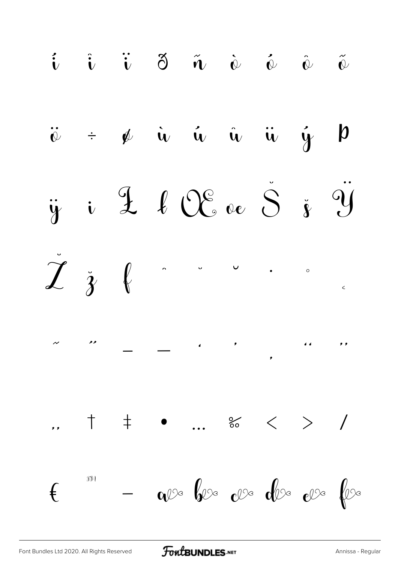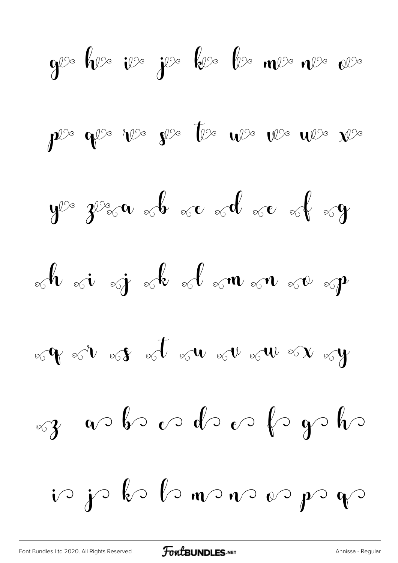$$
9^{2} \text{ } 10^{3} \text{ } 12^{3} \text{ } 12^{3} \text{ } 12^{3} \text{ } 12^{3} \text{ } 12^{3} \text{ } 12^{3} \text{ } 12^{3} \text{ } 12^{3} \text{ } 12^{3} \text{ } 12^{3} \text{ } 12^{3} \text{ } 12^{3} \text{ } 12^{3} \text{ } 12^{3} \text{ } 12^{3} \text{ } 12^{3} \text{ } 12^{3} \text{ } 12^{3} \text{ } 12^{3} \text{ } 12^{3} \text{ } 12^{3} \text{ } 12^{3} \text{ } 12^{3} \text{ } 12^{3} \text{ } 12^{3} \text{ } 12^{3} \text{ } 12^{3} \text{ } 12^{3} \text{ } 12^{3} \text{ } 12^{3} \text{ } 12^{3} \text{ } 12^{3} \text{ } 12^{3} \text{ } 12^{3} \text{ } 12^{3} \text{ } 12^{3} \text{ } 12^{3} \text{ } 12^{3} \text{ } 12^{3} \text{ } 12^{3} \text{ } 12^{3} \text{ } 12^{3} \text{ } 12^{3} \text{ } 12^{3} \text{ } 12^{3} \text{ } 12^{3} \text{ } 12^{3} \text{ } 12^{3} \text{ } 12^{3} \text{ } 12^{3} \text{ } 12^{3} \text{ } 12^{3} \text{ } 12^{3} \text{ } 12^{3} \text{ } 12^{3} \text{ } 12^{3} \text{ } 12^{3} \text{ } 12^{3} \text{ } 12^{3} \text{ } 12^{3} \text{ } 12^{3} \text{ } 12^{3} \text{ } 12^{3} \text{ } 12^{3} \text{ } 12^{3} \text{ } 12^{3} \text{ } 12^{3} \text{ } 12^{3} \text{ } 12^{3} \text{ } 12^{3} \text{ } 12^{3} \text{ } 12^{3} \text{ } 12^{3} \text{ } 12^{3} \text{ }
$$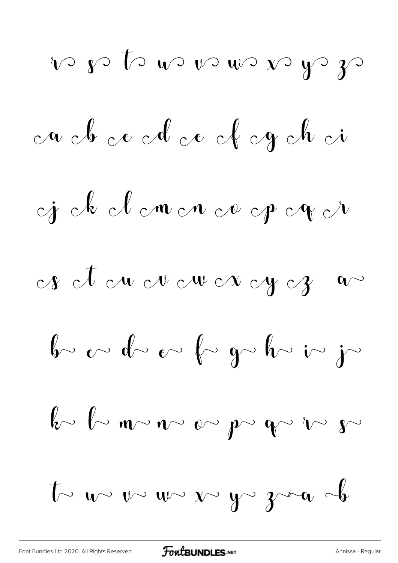\n
$$
\sqrt{2}
$$
  $\sqrt{2}$   $\sqrt{2}$   $\sqrt{2}$   $\sqrt{2}$   $\sqrt{2}$   $\sqrt{2}$   $\sqrt{2}$   $\sqrt{2}$   $\sqrt{2}$   $\sqrt{2}$   $\sqrt{2}$   $\sqrt{2}$   $\sqrt{2}$   $\sqrt{2}$   $\sqrt{2}$   $\sqrt{2}$   $\sqrt{2}$   $\sqrt{2}$   $\sqrt{2}$   $\sqrt{2}$   $\sqrt{2}$   $\sqrt{2}$   $\sqrt{2}$   $\sqrt{2}$   $\sqrt{2}$   $\sqrt{2}$   $\sqrt{2}$   $\sqrt{2}$   $\sqrt{2}$   $\sqrt{2}$   $\sqrt{2}$   $\sqrt{2}$   $\sqrt{2}$   $\sqrt{2}$   $\sqrt{2}$   $\sqrt{2}$   $\sqrt{2}$   $\sqrt{2}$   $\sqrt{2}$   $\sqrt{2}$   $\sqrt{2}$   $\sqrt{2}$   $\sqrt{2}$   $\sqrt{2}$   $\sqrt{2}$   $\sqrt{2}$   $\sqrt{2}$   $\sqrt{2}$   $\sqrt{2}$   $\sqrt{2}$   $\sqrt{2}$   $\sqrt{2}$   $\sqrt{2}$   $\sqrt{2}$   $\sqrt{2}$   $\sqrt{2}$   $\sqrt{2}$   $\sqrt{2}$   $\sqrt{2}$   $\sqrt{2}$   $\sqrt{2}$   $\sqrt{2}$   $\sqrt{2}$   $\sqrt{2}$   $\sqrt{2}$   $\sqrt{2}$   $\sqrt{2}$   $\sqrt{2}$   $\sqrt{2}$   $\sqrt{2}$   $\sqrt{2}$   $\sqrt{2}$   $\sqrt{2}$   $\sqrt{2}$   $\sqrt{2}$   $\sqrt{2}$   $\sqrt{2}$   $\sqrt{2}$   $\sqrt{2}$   $\sqrt{2}$   $\sqrt{2}$   $\sqrt{2}$   $\sqrt{2}$   $\sqrt{2}$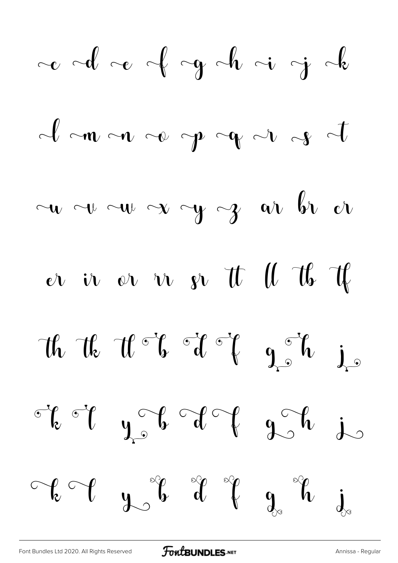[Font Bundles Ltd 2020. All Rights Reserved](https://fontbundles.net/) **FoutBUNDLES.NET** [Annissa - Regular](https://fontbundles.net/)